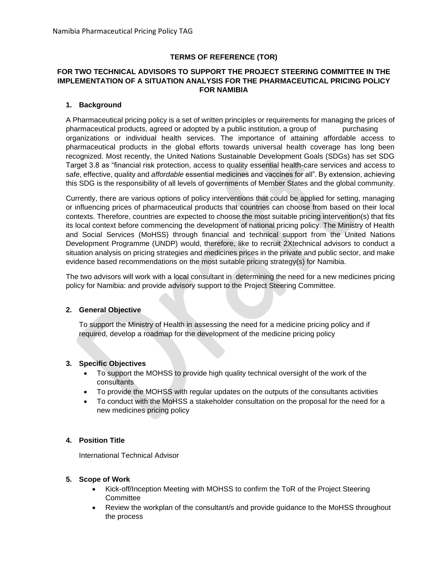# **TERMS OF REFERENCE (TOR)**

## **FOR TWO TECHNICAL ADVISORS TO SUPPORT THE PROJECT STEERING COMMITTEE IN THE IMPLEMENTATION OF A SITUATION ANALYSIS FOR THE PHARMACEUTICAL PRICING POLICY FOR NAMIBIA**

## **1. Background**

A Pharmaceutical pricing policy is a set of written principles or requirements for managing the prices of pharmaceutical products, agreed or adopted by a public institution, a group of purchasing organizations or individual health services. The importance of attaining affordable access to pharmaceutical products in the global efforts towards universal health coverage has long been recognized. Most recently, the United Nations Sustainable Development Goals (SDGs) has set SDG Target 3.8 as "financial risk protection, access to quality essential health-care services and access to safe, effective, quality and *affordable* essential medicines and vaccines for all". By extension, achieving this SDG is the responsibility of all levels of governments of Member States and the global community.

Currently, there are various options of policy interventions that could be applied for setting, managing or influencing prices of pharmaceutical products that countries can choose from based on their local contexts. Therefore, countries are expected to choose the most suitable pricing intervention(s) that fits its local context before commencing the development of national pricing policy. The Ministry of Health and Social Services (MoHSS) through financial and technical support from the United Nations Development Programme (UNDP) would, therefore, like to recruit 2Xtechnical advisors to conduct a situation analysis on pricing strategies and medicines prices in the private and public sector, and make evidence based recommendations on the most suitable pricing strategy(s) for Namibia.

The two advisors will work with a local consultant in determining the need for a new medicines pricing policy for Namibia: and provide advisory support to the Project Steering Committee.

## **2. General Objective**

To support the Ministry of Health in assessing the need for a medicine pricing policy and if required, develop a roadmap for the development of the medicine pricing policy

# **3. Specific Objectives**

- To support the MOHSS to provide high quality technical oversight of the work of the consultants
- To provide the MOHSS with regular updates on the outputs of the consultants activities
- To conduct with the MoHSS a stakeholder consultation on the proposal for the need for a new medicines pricing policy

#### **4. Position Title**

International Technical Advisor

#### **5. Scope of Work**

- Kick-off/Inception Meeting with MOHSS to confirm the ToR of the Project Steering **Committee**
- Review the workplan of the consultant/s and provide guidance to the MoHSS throughout the process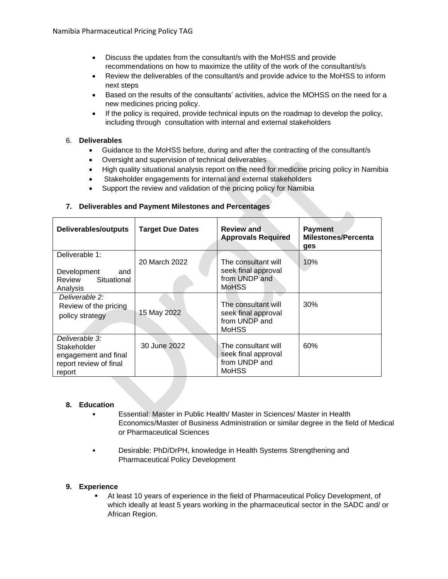- Discuss the updates from the consultant/s with the MoHSS and provide recommendations on how to maximize the utility of the work of the consultant/s/s
- Review the deliverables of the consultant/s and provide advice to the MoHSS to inform next steps
- Based on the results of the consultants' activities, advice the MOHSS on the need for a new medicines pricing policy.
- If the policy is required, provide technical inputs on the roadmap to develop the policy, including through consultation with internal and external stakeholders

# 6. **Deliverables**

- Guidance to the MoHSS before, during and after the contracting of the consultant/s
- Oversight and supervision of technical deliverables
- High quality situational analysis report on the need for medicine pricing policy in Namibia

ò.

- Stakeholder engagements for internal and external stakeholders
- Support the review and validation of the pricing policy for Namibia

# **7. Deliverables and Payment Milestones and Percentages**

| Deliverables/outputs                                                                      | <b>Target Due Dates</b> | <b>Review and</b><br><b>Approvals Required</b>                              | <b>Payment</b><br><b>Milestones/Percenta</b><br>ges |
|-------------------------------------------------------------------------------------------|-------------------------|-----------------------------------------------------------------------------|-----------------------------------------------------|
| Deliverable 1:<br>Development<br>and<br>Situational<br>Review<br>Analysis                 | 20 March 2022           | The consultant will<br>seek final approval<br>from UNDP and<br><b>MoHSS</b> | 10%                                                 |
| Deliverable 2:<br>Review of the pricing<br>policy strategy                                | 15 May 2022             | The consultant will<br>seek final approval<br>from UNDP and<br><b>MoHSS</b> | 30%                                                 |
| Deliverable 3:<br>Stakeholder<br>engagement and final<br>report review of final<br>report | 30 June 2022            | The consultant will<br>seek final approval<br>from UNDP and<br><b>MoHSS</b> | 60%                                                 |

# **8. Education**

- Essential: Master in Public Health/ Master in Sciences/ Master in Health Economics/Master of Business Administration or similar degree in the field of Medical or Pharmaceutical Sciences
- Desirable: PhD/DrPH, knowledge in Health Systems Strengthening and Pharmaceutical Policy Development

# **9. Experience**

At least 10 years of experience in the field of Pharmaceutical Policy Development, of which ideally at least 5 years working in the pharmaceutical sector in the SADC and/ or African Region.